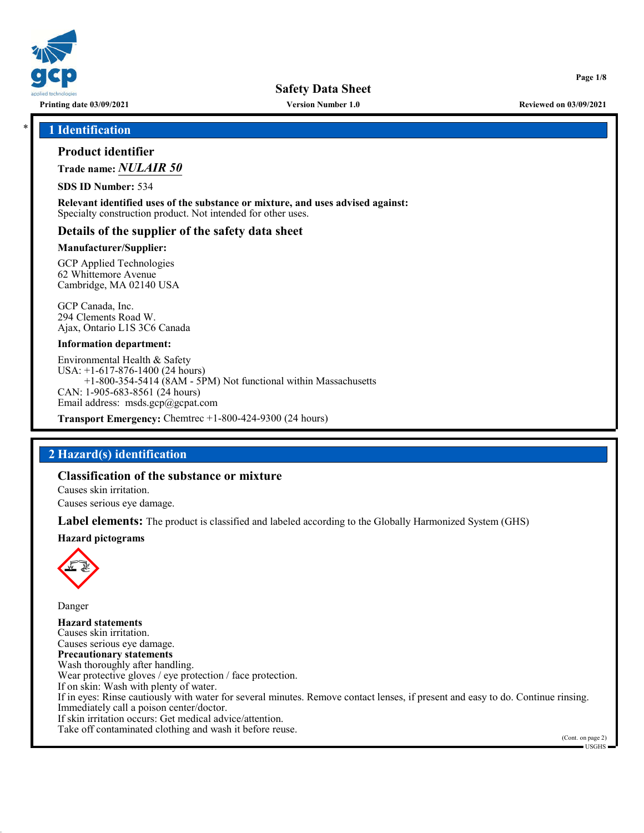

Printing date 03/09/2021 Version Number 1.0 Reviewed on 03/09/2021

Page 1/8

#### 1 Identification

### Product identifier

Trade name: *NULAIR 50*

SDS ID Number: 534

Relevant identified uses of the substance or mixture, and uses advised against: Specialty construction product. Not intended for other uses.

## Details of the supplier of the safety data sheet

#### Manufacturer/Supplier:

GCP Applied Technologies 62 Whittemore Avenue Cambridge, MA 02140 USA

GCP Canada, Inc. 294 Clements Road W. Ajax, Ontario L1S 3C6 Canada

#### Information department:

Environmental Health & Safety USA: +1-617-876-1400 (24 hours) +1-800-354-5414 (8AM - 5PM) Not functional within Massachusetts CAN: 1-905-683-8561 (24 hours) Email address: msds.gcp@gcpat.com

Transport Emergency: Chemtrec +1-800-424-9300 (24 hours)

## 2 Hazard(s) identification

## Classification of the substance or mixture

Causes skin irritation. Causes serious eye damage.

**Label elements:** The product is classified and labeled according to the Globally Harmonized System (GHS)

Hazard pictograms



Danger Hazard statements Causes skin irritation. Causes serious eye damage. Precautionary statements Wash thoroughly after handling. Wear protective gloves / eye protection / face protection. If on skin: Wash with plenty of water. If in eyes: Rinse cautiously with water for several minutes. Remove contact lenses, if present and easy to do. Continue rinsing. Immediately call a poison center/doctor. If skin irritation occurs: Get medical advice/attention. Take off contaminated clothing and wash it before reuse.  $(Cont. on page 2)$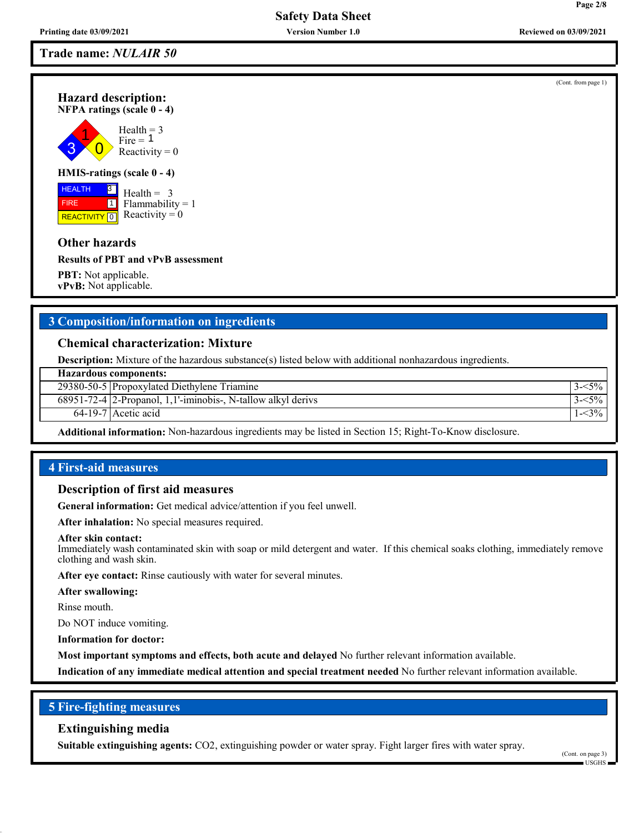Trade name: *NULAIR 50*

## Hazard description:

NFPA ratings (scale 0 - 4)



 $Health = 3$  $Fire = 1$ Reactivity  $= 0$ 

## HMIS-ratings (scale 0 - 4)

**HEALTH**  FIRE REACTIVITY 0  $\boxed{1}$ Health =  $3$  $Flammability = 1$ Reactivity  $= 0$  $\sqrt{3}$ 

Other hazards

Results of PBT and vPvB assessment

**PBT:** Not applicable. vPvB: Not applicable.

## 3 Composition/information on ingredients

## Chemical characterization: Mixture

**Description:** Mixture of the hazardous substance(s) listed below with additional nonhazardous ingredients.

| <b>Hazardous components:</b> |                                                              |         |  |  |
|------------------------------|--------------------------------------------------------------|---------|--|--|
|                              | 29380-50-5 Propoxylated Diethylene Triamine                  | $5\%$   |  |  |
|                              | 68951-72-4 2-Propanol, 1,1'-iminobis-, N-tallow alkyl derivs | $< 5\%$ |  |  |
|                              | $64-19-7$ Acetic acid                                        | $<$ 3%  |  |  |

Additional information: Non-hazardous ingredients may be listed in Section 15; Right-To-Know disclosure.

## 4 First-aid measures

#### Description of first aid measures

General information: Get medical advice/attention if you feel unwell.

After inhalation: No special measures required.

#### After skin contact:

Immediately wash contaminated skin with soap or mild detergent and water. If this chemical soaks clothing, immediately remove clothing and wash skin.

After eye contact: Rinse cautiously with water for several minutes.

After swallowing:

Rinse mouth.

Do NOT induce vomiting.

Information for doctor:

Most important symptoms and effects, both acute and delayed No further relevant information available.

Indication of any immediate medical attention and special treatment needed No further relevant information available.

## 5 Fire-fighting measures

### Extinguishing media

Suitable extinguishing agents: CO2, extinguishing powder or water spray. Fight larger fires with water spray. (Cont. on page 3)

(Cont. from page 1)

Page 2/8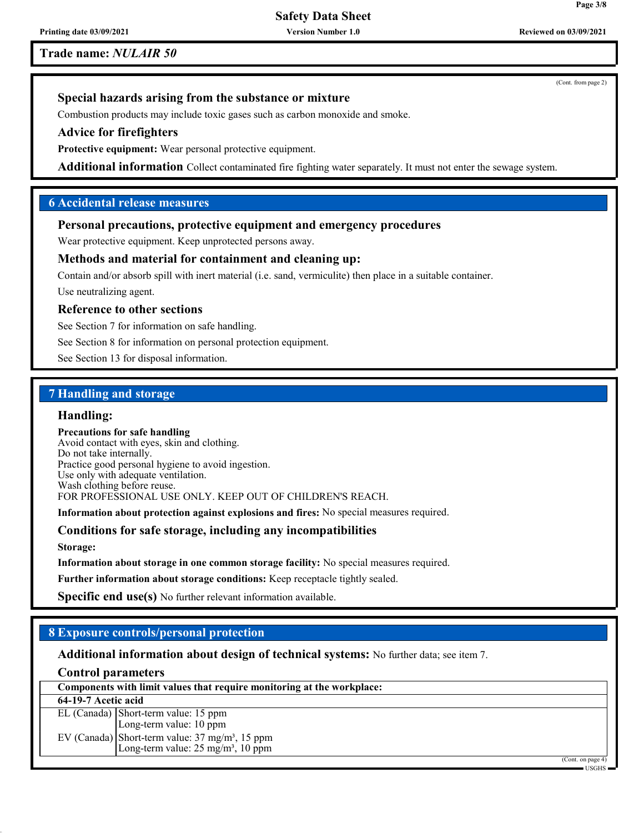## Trade name: *NULAIR 50*

Printing date 03/09/2021 Version Number 1.0 Reviewed on 03/09/2021

(Cont. from page 2)

Special hazards arising from the substance or mixture

Combustion products may include toxic gases such as carbon monoxide and smoke.

## Advice for firefighters

Protective equipment: Wear personal protective equipment.

Additional information Collect contaminated fire fighting water separately. It must not enter the sewage system.

## 6 Accidental release measures

## Personal precautions, protective equipment and emergency procedures

Wear protective equipment. Keep unprotected persons away.

## Methods and material for containment and cleaning up:

Contain and/or absorb spill with inert material (i.e. sand, vermiculite) then place in a suitable container.

Use neutralizing agent.

## Reference to other sections

See Section 7 for information on safe handling.

See Section 8 for information on personal protection equipment.

See Section 13 for disposal information.

## 7 Handling and storage

#### Handling:

Precautions for safe handling Avoid contact with eyes, skin and clothing. Do not take internally.

Practice good personal hygiene to avoid ingestion.

Use only with adequate ventilation.

Wash clothing before reuse.

#### FOR PROFESSIONAL USE ONLY. KEEP OUT OF CHILDREN'S REACH.

Information about protection against explosions and fires: No special measures required.

## Conditions for safe storage, including any incompatibilities

Storage:

Information about storage in one common storage facility: No special measures required.

Further information about storage conditions: Keep receptacle tightly sealed.

Specific end use(s) No further relevant information available.

## 8 Exposure controls/personal protection

Additional information about design of technical systems: No further data; see item 7.

## Control parameters

| Components with limit values that require monitoring at the workplace: |                                                                                                                                 |  |  |
|------------------------------------------------------------------------|---------------------------------------------------------------------------------------------------------------------------------|--|--|
| 64-19-7 Acetic acid                                                    |                                                                                                                                 |  |  |
|                                                                        | EL (Canada) Short-term value: 15 ppm<br>Long-term value: 10 ppm                                                                 |  |  |
|                                                                        | EV (Canada) Short-term value: $37 \text{ mg/m}^3$ , $15 \text{ ppm}$<br>Long-term value: $25 \text{ mg/m}^3$ , $10 \text{ ppm}$ |  |  |

(Cont. on page 4) USGHS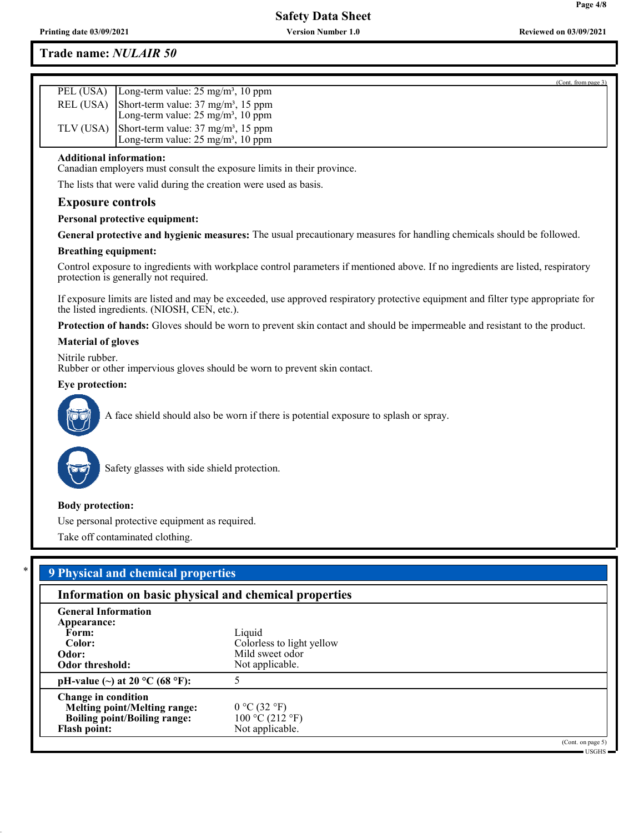## Trade name: *NULAIR 50*

| (Cont. from page 3)                                                                                                  |
|----------------------------------------------------------------------------------------------------------------------|
| PEL (USA) $\vert$ Long-term value: 25 mg/m <sup>3</sup> , 10 ppm                                                     |
| REL (USA) Short-term value: $37 \text{ mg/m}^3$ , $15 \text{ ppm}$<br>Long-term value: $25 \text{ mg/m}^3$ , 10 ppm  |
| TLV (USA) Short-term value: $37 \text{ mg/m}^3$ , $15 \text{ ppm}$<br>[Long-term value: $25 \text{ mg/m}^3$ , 10 ppm |

#### Additional information:

Canadian employers must consult the exposure limits in their province.

The lists that were valid during the creation were used as basis.

## Exposure controls

#### Personal protective equipment:

General protective and hygienic measures: The usual precautionary measures for handling chemicals should be followed.

#### Breathing equipment:

Control exposure to ingredients with workplace control parameters if mentioned above. If no ingredients are listed, respiratory protection is generally not required.

If exposure limits are listed and may be exceeded, use approved respiratory protective equipment and filter type appropriate for the listed ingredients. (NIOSH, CEN, etc.).

Protection of hands: Gloves should be worn to prevent skin contact and should be impermeable and resistant to the product.

#### Material of gloves

Nitrile rubber.

Rubber or other impervious gloves should be worn to prevent skin contact.

#### Eye protection:



A face shield should also be worn if there is potential exposure to splash or spray.



Safety glasses with side shield protection.

#### Body protection:

Use personal protective equipment as required.

Take off contaminated clothing.

## **9 Physical and chemical properties**

# Information on basic physical and chemical properties

| <b>General Information</b>          |                           |
|-------------------------------------|---------------------------|
| Appearance:                         |                           |
| Form:                               | Liquid                    |
| Color:                              | Colorless to light yellow |
| Odor:                               | Mild sweet odor           |
| Odor threshold:                     | Not applicable.           |
| pH-value (~) at 20 °C (68 °F):      |                           |
| <b>Change in condition</b>          |                           |
| <b>Melting point/Melting range:</b> | 0 °C (32 °F)              |
| <b>Boiling point/Boiling range:</b> | 100 °C (212 °F)           |
| <b>Flash point:</b>                 | Not applicable.           |
|                                     | (Cont. on page 5)         |

Page 4/8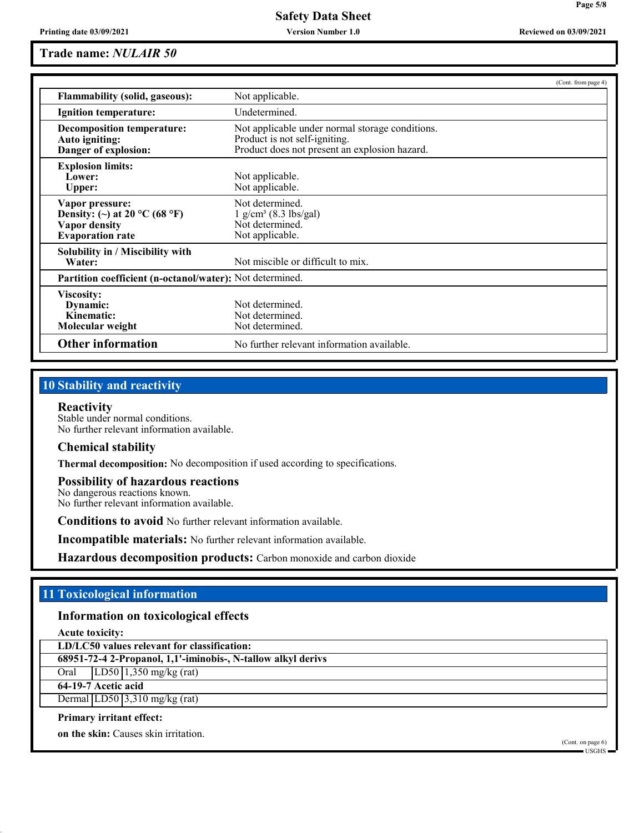### Trade name: *NULAIR 50*

|                                                                                                     | (Cont. from page 4)                                                                                                               |
|-----------------------------------------------------------------------------------------------------|-----------------------------------------------------------------------------------------------------------------------------------|
| <b>Flammability (solid, gaseous):</b>                                                               | Not applicable.                                                                                                                   |
| Ignition temperature:                                                                               | Undetermined.                                                                                                                     |
| <b>Decomposition temperature:</b><br>Auto igniting:<br>Danger of explosion:                         | Not applicable under normal storage conditions.<br>Product is not self-igniting.<br>Product does not present an explosion hazard. |
| <b>Explosion limits:</b><br>Lower:<br>Upper:                                                        | Not applicable.<br>Not applicable.                                                                                                |
| Vapor pressure:<br>Density: (~) at 20 °C (68 °F)<br><b>Vapor</b> density<br><b>Evaporation rate</b> | Not determined.<br>$1$ g/cm <sup>3</sup> (8.3 lbs/gal)<br>Not determined.<br>Not applicable.                                      |
| Solubility in / Miscibility with<br>Water:                                                          | Not miscible or difficult to mix.                                                                                                 |
| Partition coefficient (n-octanol/water): Not determined.                                            |                                                                                                                                   |
| Viscosity:<br>Dynamic:<br>Kinematic:<br>Molecular weight                                            | Not determined.<br>Not determined.<br>Not determined.                                                                             |
| <b>Other information</b>                                                                            | No further relevant information available.                                                                                        |

## 10 Stability and reactivity

#### **Reactivity**

Stable under normal conditions. No further relevant information available.

#### Chemical stability

Thermal decomposition: No decomposition if used according to specifications.

#### Possibility of hazardous reactions

No dangerous reactions known. No further relevant information available.

Conditions to avoid No further relevant information available.

Incompatible materials: No further relevant information available.

Hazardous decomposition products: Carbon monoxide and carbon dioxide

## 11 Toxicological information

#### Information on toxicological effects

Acute toxicity:

LD/LC50 values relevant for classification:

68951-72-4 2-Propanol, 1,1'-iminobis-, N-tallow alkyl derivs

Oral LD50 1,350 mg/kg (rat)

64-19-7 Acetic acid

Dermal LD50 3,310 mg/kg (rat)

Primary irritant effect:

**on the skin:** Causes skin irritation.  $(Cont. on page 6)$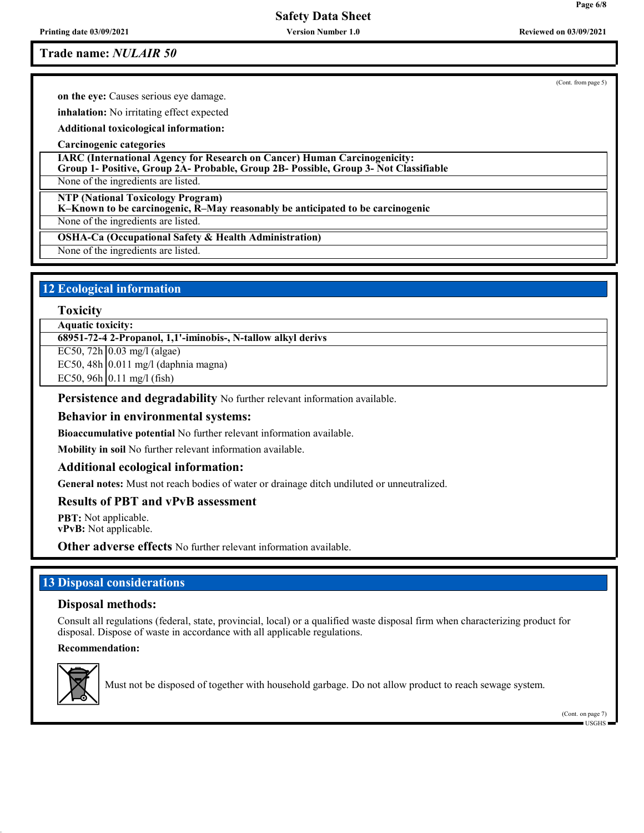Printing date 03/09/2021 Version Number 1.0 Reviewed on 03/09/2021

## Safety Data Sheet

Trade name: *NULAIR 50*

(Cont. from page 5)

on the eye: Causes serious eye damage.

inhalation: No irritating effect expected

Additional toxicological information:

Carcinogenic categories

IARC (International Agency for Research on Cancer) Human Carcinogenicity:

Group 1- Positive, Group 2A- Probable, Group 2B- Possible, Group 3- Not Classifiable

None of the ingredients are listed.

NTP (National Toxicology Program)

K–Known to be carcinogenic, R–May reasonably be anticipated to be carcinogenic

None of the ingredients are listed.

OSHA-Ca (Occupational Safety & Health Administration)

None of the ingredients are listed.

## 12 Ecological information

Toxicity

Aquatic toxicity:

68951-72-4 2-Propanol, 1,1'-iminobis-, N-tallow alkyl derivs

EC50, 72h  $|0.03 \text{ mg}/1$  (algae) EC50, 48h 0.011 mg/l (daphnia magna)

EC50,  $96h$  0.11 mg/l (fish)

Persistence and degradability No further relevant information available.

### Behavior in environmental systems:

Bioaccumulative potential No further relevant information available.

Mobility in soil No further relevant information available.

## Additional ecological information:

General notes: Must not reach bodies of water or drainage ditch undiluted or unneutralized.

## Results of PBT and vPvB assessment

PBT: Not applicable. vPvB: Not applicable.

**Other adverse effects** No further relevant information available.

## 13 Disposal considerations

## Disposal methods:

Consult all regulations (federal, state, provincial, local) or a qualified waste disposal firm when characterizing product for disposal. Dispose of waste in accordance with all applicable regulations.

## Recommendation:



Must not be disposed of together with household garbage. Do not allow product to reach sewage system.

(Cont. on page 7) USGHS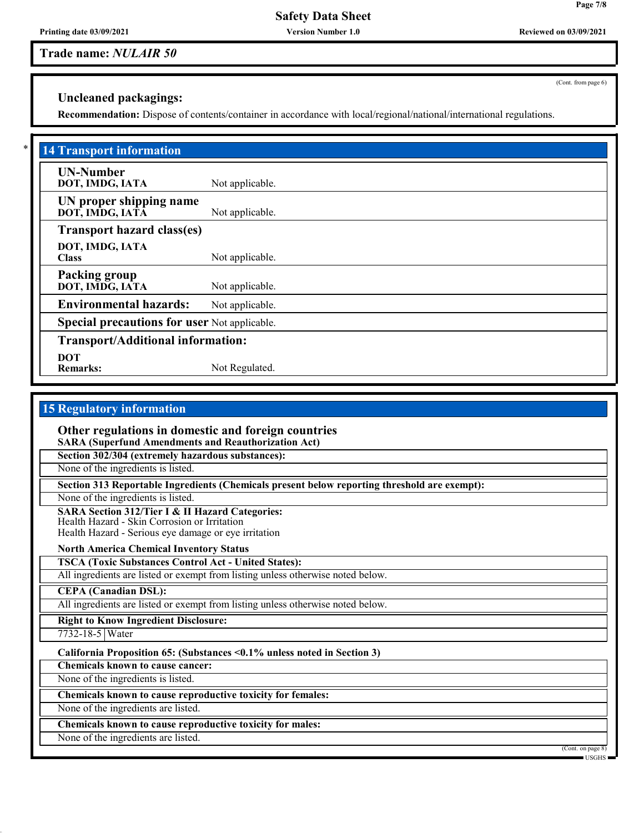Trade name: *NULAIR 50*

Uncleaned packagings:

Recommendation: Dispose of contents/container in accordance with local/regional/national/international regulations.

| <b>14 Transport information</b>                     |                                   |  |
|-----------------------------------------------------|-----------------------------------|--|
| <b>UN-Number</b><br>DOT, IMDG, IATA                 | Not applicable.                   |  |
| UN proper shipping name<br>DOT, IMDG, IATA          | Not applicable.                   |  |
|                                                     | <b>Transport hazard class(es)</b> |  |
| DOT, IMDG, IATA<br><b>Class</b>                     | Not applicable.                   |  |
| Packing group<br>DOT, IMDG, IATA                    | Not applicable.                   |  |
| <b>Environmental hazards:</b>                       | Not applicable.                   |  |
| <b>Special precautions for user Not applicable.</b> |                                   |  |
| Transport/Additional information:                   |                                   |  |
| <b>DOT</b><br><b>Remarks:</b>                       | Not Regulated.                    |  |

## 15 Regulatory information

Other regulations in domestic and foreign countries

SARA (Superfund Amendments and Reauthorization Act) Section 302/304 (extremely hazardous substances):

None of the ingredients is listed.

Section 313 Reportable Ingredients (Chemicals present below reporting threshold are exempt):

None of the ingredients is listed.

SARA Section 312/Tier I & II Hazard Categories:

Health Hazard - Skin Corrosion or Irritation Health Hazard - Serious eye damage or eye irritation

North America Chemical Inventory Status

TSCA (Toxic Substances Control Act - United States):

All ingredients are listed or exempt from listing unless otherwise noted below.

CEPA (Canadian DSL):

All ingredients are listed or exempt from listing unless otherwise noted below.

Right to Know Ingredient Disclosure:

7732-18-5 Water

California Proposition 65: (Substances <0.1% unless noted in Section 3)

Chemicals known to cause cancer:

None of the ingredients is listed.

Chemicals known to cause reproductive toxicity for females:

None of the ingredients are listed.

Chemicals known to cause reproductive toxicity for males:

None of the ingredients are listed.

(Cont. on page 8) USGHS

(Cont. from page 6)